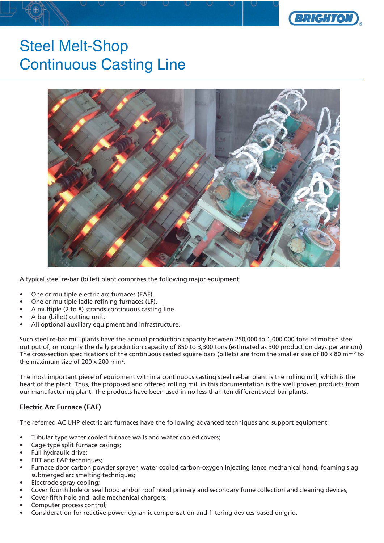

# Steel Melt-Shop Continuous Casting Line



A typical steel re-bar (billet) plant comprises the following major equipment:

- One or multiple electric arc furnaces (EAF).
- One or multiple ladle refining furnaces (LF).
- A multiple (2 to 8) strands continuous casting line.
- A bar (billet) cutting unit.
- All optional auxiliary equipment and infrastructure.

Such steel re-bar mill plants have the annual production capacity between 250,000 to 1,000,000 tons of molten steel out put of, or roughly the daily production capacity of 850 to 3,300 tons (estimated as 300 production days per annum). The cross-section specifications of the continuous casted square bars (billets) are from the smaller size of 80 x 80 mm<sup>2</sup> to the maximum size of 200 x 200 mm2.

The most important piece of equipment within a continuous casting steel re-bar plant is the rolling mill, which is the heart of the plant. Thus, the proposed and offered rolling mill in this documentation is the well proven products from our manufacturing plant. The products have been used in no less than ten different steel bar plants.

### **Electric Arc Furnace (EAF)**

The referred AC UHP electric arc furnaces have the following advanced techniques and support equipment:

- Tubular type water cooled furnace walls and water cooled covers;
- Cage type split furnace casings;
- Full hydraulic drive;
- EBT and EAP techniques;
- Furnace door carbon powder sprayer, water cooled carbon-oxygen Injecting lance mechanical hand, foaming slag submerged arc smelting techniques;
- Electrode spray cooling;
- Cover fourth hole or seal hood and/or roof hood primary and secondary fume collection and cleaning devices;
- Cover fifth hole and ladle mechanical chargers;
- Computer process control;
- Consideration for reactive power dynamic compensation and filtering devices based on grid.